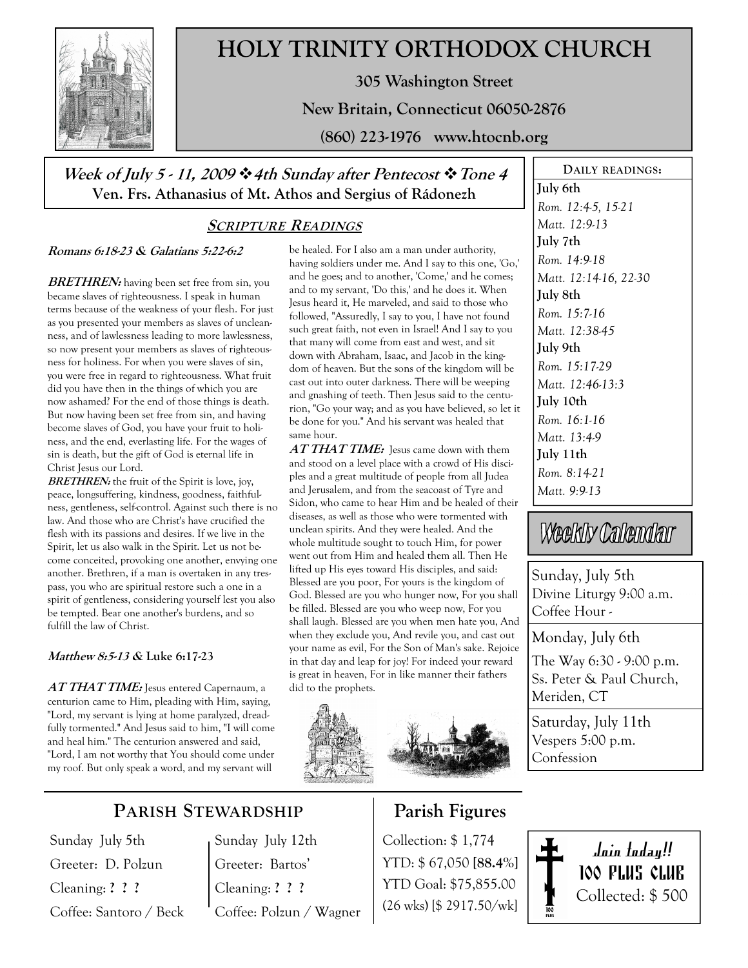

# HOLY TRINITY ORTHODOX CHURCH

305 Washington Street

New Britain, Connecticut 06050-2876

(860) 223-1976 www.htocnb.org

## Week of July 5 - 11, 2009  $\cdot$  4th Sunday after Pentecost  $\cdot$  Tone 4 Ven. Frs. Athanasius of Mt. Athos and Sergius of Rádonezh

## SCRIPTURE READINGS

### Romans 6:18-23 & Galatians 5:22-6:2

BRETHREN: having been set free from sin, you became slaves of righteousness. I speak in human terms because of the weakness of your flesh. For just as you presented your members as slaves of uncleanness, and of lawlessness leading to more lawlessness, so now present your members as slaves of righteousness for holiness. For when you were slaves of sin, you were free in regard to righteousness. What fruit did you have then in the things of which you are now ashamed? For the end of those things is death. But now having been set free from sin, and having become slaves of God, you have your fruit to holiness, and the end, everlasting life. For the wages of sin is death, but the gift of God is eternal life in Christ Jesus our Lord.

**BRETHREN:** the fruit of the Spirit is love, joy, peace, longsuffering, kindness, goodness, faithfulness, gentleness, self-control. Against such there is no law. And those who are Christ's have crucified the flesh with its passions and desires. If we live in the Spirit, let us also walk in the Spirit. Let us not become conceited, provoking one another, envying one another. Brethren, if a man is overtaken in any trespass, you who are spiritual restore such a one in a spirit of gentleness, considering yourself lest you also be tempted. Bear one another's burdens, and so fulfill the law of Christ.

### Matthew 8:5-13 & Luke 6:17-23

 $AT\mathit{THAT\mathit{TIME:}}$  Iesus entered Capernaum, a centurion came to Him, pleading with Him, saying, "Lord, my servant is lying at home paralyzed, dreadfully tormented." And Jesus said to him, "I will come and heal him." The centurion answered and said, "Lord, I am not worthy that You should come under my roof. But only speak a word, and my servant will

be healed. For I also am a man under authority, having soldiers under me. And I say to this one, 'Go,' and he goes; and to another, 'Come,' and he comes; and to my servant, 'Do this,' and he does it. When Jesus heard it, He marveled, and said to those who followed, "Assuredly, I say to you, I have not found such great faith, not even in Israel! And I say to you that many will come from east and west, and sit down with Abraham, Isaac, and Jacob in the kingdom of heaven. But the sons of the kingdom will be cast out into outer darkness. There will be weeping and gnashing of teeth. Then Jesus said to the centurion, "Go your way; and as you have believed, so let it be done for you." And his servant was healed that same hour.

AT THAT TIME: Jesus came down with them and stood on a level place with a crowd of His disciples and a great multitude of people from all Judea and Jerusalem, and from the seacoast of Tyre and Sidon, who came to hear Him and be healed of their diseases, as well as those who were tormented with unclean spirits. And they were healed. And the whole multitude sought to touch Him, for power went out from Him and healed them all. Then He lifted up His eyes toward His disciples, and said: Blessed are you poor, For yours is the kingdom of God. Blessed are you who hunger now, For you shall be filled. Blessed are you who weep now, For you shall laugh. Blessed are you when men hate you, And when they exclude you, And revile you, and cast out your name as evil, For the Son of Man's sake. Rejoice in that day and leap for joy! For indeed your reward is great in heaven, For in like manner their fathers did to the prophets.



## Parish Figures

Collection: \$ 1,774 YTD: \$ 67,050 [88.4%] YTD Goal: \$75,855.00 (26 wks) [\$ 2917.50/wk]

Matt. 9:9-13 Weekly Calendar Sunday, July 5th Divine Liturgy 9:00 a.m. Coffee Hour - Monday, July 6th The Way 6:30 - 9:00 p.m. Ss. Peter & Paul Church, Meriden, CT

DAILY READINGS:

July 6th

July 8th Rom. 15:7-16 Matt. 12:38-45

July 9th Rom. 15:17-29 Matt. 12:46-13:3

July 10th Rom. 16:1-16 Matt. 13:4-9 July 11th Rom. 8:14-21

Rom. 12:4-5, 15-21 Matt. 12:9-13 July 7th Rom. 14:9-18

Matt. 12:14-16, 22-30

Saturday, July 11th Vespers 5:00 p.m. Confession

> Join today!! 100 PLUS CLUB Collected: \$ 500

## PARISH STEWARDSHIP

Sunday July 5th Greeter: D. Polzun Cleaning: ? ? ? Coffee: Santoro / Beck

## Sunday July 12th Greeter: Bartos' Cleaning: ? ? ? Coffee: Polzun / Wagner